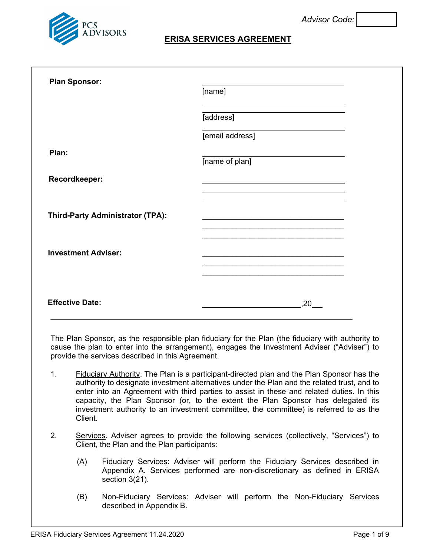

## **ERISA SERVICES AGREEMENT**

| <b>Plan Sponsor:</b>                    | [name]                                                                                                                                                                                                                |
|-----------------------------------------|-----------------------------------------------------------------------------------------------------------------------------------------------------------------------------------------------------------------------|
|                                         | [address]                                                                                                                                                                                                             |
|                                         | [email address]                                                                                                                                                                                                       |
| Plan:                                   | [name of plan]                                                                                                                                                                                                        |
| Recordkeeper:                           | <u> 1989 - Johann Stoff, amerikansk politiker (d. 1989)</u>                                                                                                                                                           |
| <b>Third-Party Administrator (TPA):</b> | and the control of the control of the control of the control of the control of the control of<br><u> 1989 - Johann Stein, marwolaethau a bhann an t-Amhair ann an t-Amhair an t-Amhair an t-Amhair an t-Amhair an</u> |
| <b>Investment Adviser:</b>              |                                                                                                                                                                                                                       |
|                                         |                                                                                                                                                                                                                       |
| <b>Effective Date:</b>                  | ,20                                                                                                                                                                                                                   |

The Plan Sponsor, as the responsible plan fiduciary for the Plan (the fiduciary with authority to cause the plan to enter into the arrangement), engages the Investment Adviser ("Adviser") to provide the services described in this Agreement.

- 1. Fiduciary Authority. The Plan is a participant-directed plan and the Plan Sponsor has the authority to designate investment alternatives under the Plan and the related trust, and to enter into an Agreement with third parties to assist in these and related duties. In this capacity, the Plan Sponsor (or, to the extent the Plan Sponsor has delegated its investment authority to an investment committee, the committee) is referred to as the Client.
- 2. Services. Adviser agrees to provide the following services (collectively, "Services") to Client, the Plan and the Plan participants:
	- (A) Fiduciary Services: Adviser will perform the Fiduciary Services described in Appendix A. Services performed are non-discretionary as defined in ERISA section 3(21).
	- (B) Non-Fiduciary Services: Adviser will perform the Non-Fiduciary Services described in Appendix B.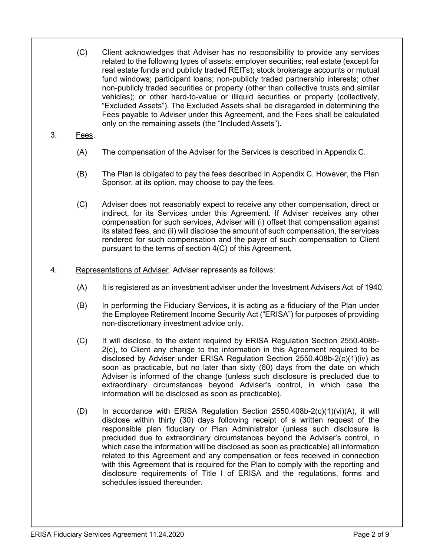- (C) Client acknowledges that Adviser has no responsibility to provide any services related to the following types of assets: employer securities; real estate (except for real estate funds and publicly traded REITs); stock brokerage accounts or mutual fund windows; participant loans; non-publicly traded partnership interests; other non-publicly traded securities or property (other than collective trusts and similar vehicles); or other hard-to-value or illiquid securities or property (collectively, "Excluded Assets"). The Excluded Assets shall be disregarded in determining the Fees payable to Adviser under this Agreement, and the Fees shall be calculated only on the remaining assets (the "Included Assets").
- 3. Fees.
	- (A) The compensation of the Adviser for the Services is described in Appendix C.
	- (B) The Plan is obligated to pay the fees described in Appendix C. However, the Plan Sponsor, at its option, may choose to pay the fees.
	- (C) Adviser does not reasonably expect to receive any other compensation, direct or indirect, for its Services under this Agreement. If Adviser receives any other compensation for such services, Adviser will (i) offset that compensation against its stated fees, and (ii) will disclose the amount of such compensation, the services rendered for such compensation and the payer of such compensation to Client pursuant to the terms of section 4(C) of this Agreement.
- 4. Representations of Adviser. Adviser represents as follows:
	- (A) It is registered as an investment adviser under the Investment Advisers Act of 1940.
	- (B) In performing the Fiduciary Services, it is acting as a fiduciary of the Plan under the Employee Retirement Income Security Act ("ERISA") for purposes of providing non-discretionary investment advice only.
	- (C) It will disclose, to the extent required by ERISA Regulation Section 2550.408b-2(c), to Client any change to the information in this Agreement required to be disclosed by Adviser under ERISA Regulation Section 2550.408b-2(c)(1)(iv) as soon as practicable, but no later than sixty (60) days from the date on which Adviser is informed of the change (unless such disclosure is precluded due to extraordinary circumstances beyond Adviser's control, in which case the information will be disclosed as soon as practicable).
	- (D) In accordance with ERISA Regulation Section 2550.408b-2(c)(1)(vi)(A), it will disclose within thirty (30) days following receipt of a written request of the responsible plan fiduciary or Plan Administrator (unless such disclosure is precluded due to extraordinary circumstances beyond the Adviser's control, in which case the information will be disclosed as soon as practicable) all information related to this Agreement and any compensation or fees received in connection with this Agreement that is required for the Plan to comply with the reporting and disclosure requirements of Title I of ERISA and the regulations, forms and schedules issued thereunder.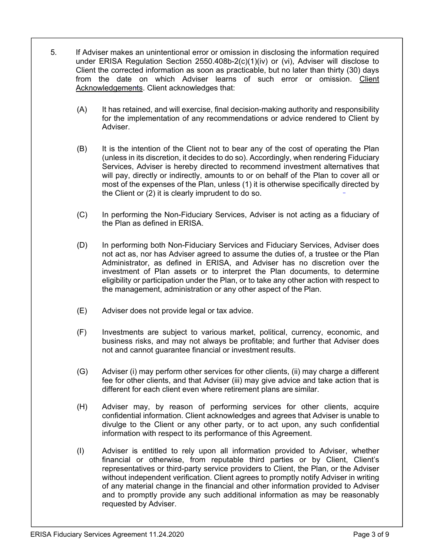- 5. If Adviser makes an unintentional error or omission in disclosing the information required under ERISA Regulation Section 2550.408b-2(c)(1)(iv) or (vi), Adviser will disclose to Client the corrected information as soon as practicable, but no later than thirty (30) days from the date on which Adviser learns of such error or omission. Client Acknowledgements. Client acknowledges that:
	- (A) It has retained, and will exercise, final decision-making authority and responsibility for the implementation of any recommendations or advice rendered to Client by **Adviser**
	- (B) It is the intention of the Client not to bear any of the cost of operating the Plan (unless in its discretion, it decides to do so). Accordingly, when rendering Fiduciary Services, Adviser is hereby directed to recommend investment alternatives that will pay, directly or indirectly, amounts to or on behalf of the Plan to cover all or most of the expenses of the Plan, unless (1) it is otherwise specifically directed by the Client or (2) it is clearly imprudent to do so.
	- (C) In performing the Non-Fiduciary Services, Adviser is not acting as a fiduciary of the Plan as defined in ERISA.
	- (D) In performing both Non-Fiduciary Services and Fiduciary Services, Adviser does not act as, nor has Adviser agreed to assume the duties of, a trustee or the Plan Administrator, as defined in ERISA, and Adviser has no discretion over the investment of Plan assets or to interpret the Plan documents, to determine eligibility or participation under the Plan, or to take any other action with respect to the management, administration or any other aspect of the Plan.
	- (E) Adviser does not provide legal or tax advice.
	- (F) Investments are subject to various market, political, currency, economic, and business risks, and may not always be profitable; and further that Adviser does not and cannot guarantee financial or investment results.
	- (G) Adviser (i) may perform other services for other clients, (ii) may charge a different fee for other clients, and that Adviser (iii) may give advice and take action that is different for each client even where retirement plans are similar.
	- (H) Adviser may, by reason of performing services for other clients, acquire confidential information. Client acknowledges and agrees that Adviser is unable to divulge to the Client or any other party, or to act upon, any such confidential information with respect to its performance of this Agreement.
	- (I) Adviser is entitled to rely upon all information provided to Adviser, whether financial or otherwise, from reputable third parties or by Client, Client's representatives or third-party service providers to Client, the Plan, or the Adviser without independent verification. Client agrees to promptly notify Adviser in writing of any material change in the financial and other information provided to Adviser and to promptly provide any such additional information as may be reasonably requested by Adviser.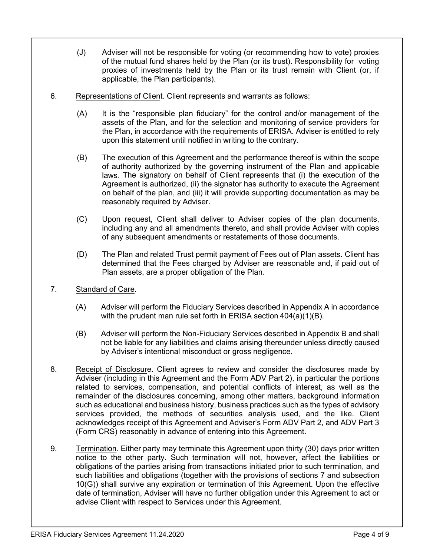- (J) Adviser will not be responsible for voting (or recommending how to vote) proxies of the mutual fund shares held by the Plan (or its trust). Responsibility for voting proxies of investments held by the Plan or its trust remain with Client (or, if applicable, the Plan participants).
- 6. Representations of Client. Client represents and warrants as follows:
	- (A) It is the "responsible plan fiduciary" for the control and/or management of the assets of the Plan, and for the selection and monitoring of service providers for the Plan, in accordance with the requirements of ERISA. Adviser is entitled to rely upon this statement until notified in writing to the contrary.
	- (B) The execution of this Agreement and the performance thereof is within the scope of authority authorized by the governing instrument of the Plan and applicable laws. The signatory on behalf of Client represents that (i) the execution of the Agreement is authorized, (ii) the signator has authority to execute the Agreement on behalf of the plan, and (iii) it will provide supporting documentation as may be reasonably required by Adviser.
	- (C) Upon request, Client shall deliver to Adviser copies of the plan documents, including any and all amendments thereto, and shall provide Adviser with copies of any subsequent amendments or restatements of those documents.
	- (D) The Plan and related Trust permit payment of Fees out of Plan assets. Client has determined that the Fees charged by Adviser are reasonable and, if paid out of Plan assets, are a proper obligation of the Plan.
- 7. Standard of Care.
	- (A) Adviser will perform the Fiduciary Services described in Appendix A in accordance with the prudent man rule set forth in ERISA section 404(a)(1)(B).
	- (B) Adviser will perform the Non-Fiduciary Services described in Appendix B and shall not be liable for any liabilities and claims arising thereunder unless directly caused by Adviser's intentional misconduct or gross negligence.
- 8. Receipt of Disclosure. Client agrees to review and consider the disclosures made by Adviser (including in this Agreement and the Form ADV Part 2), in particular the portions related to services, compensation, and potential conflicts of interest, as well as the remainder of the disclosures concerning, among other matters, background information such as educational and business history, business practices such as the types of advisory services provided, the methods of securities analysis used, and the like. Client acknowledges receipt of this Agreement and Adviser's Form ADV Part 2, and ADV Part 3 (Form CRS) reasonably in advance of entering into this Agreement.
- 9. Termination. Either party may terminate this Agreement upon thirty (30) days prior written notice to the other party. Such termination will not, however, affect the liabilities or obligations of the parties arising from transactions initiated prior to such termination, and such liabilities and obligations (together with the provisions of sections 7 and subsection 10(G)) shall survive any expiration or termination of this Agreement. Upon the effective date of termination, Adviser will have no further obligation under this Agreement to act or advise Client with respect to Services under this Agreement.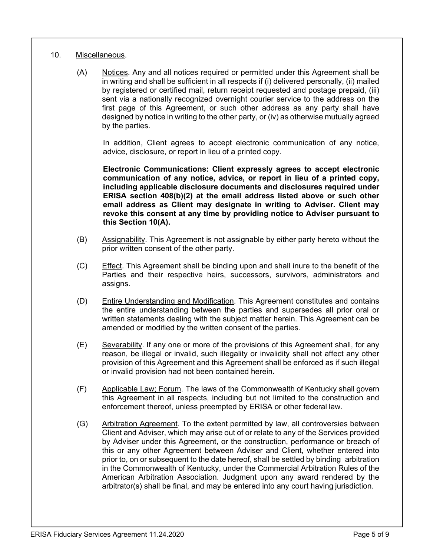## 10. Miscellaneous.

(A) Notices. Any and all notices required or permitted under this Agreement shall be in writing and shall be sufficient in all respects if (i) delivered personally, (ii) mailed by registered or certified mail, return receipt requested and postage prepaid, (iii) sent via a nationally recognized overnight courier service to the address on the first page of this Agreement, or such other address as any party shall have designed by notice in writing to the other party, or (iv) as otherwise mutually agreed by the parties.

In addition, Client agrees to accept electronic communication of any notice, advice, disclosure, or report in lieu of a printed copy.

**Electronic Communications: Client expressly agrees to accept electronic communication of any notice, advice, or report in lieu of a printed copy, including applicable disclosure documents and disclosures required under ERISA section 408(b)(2) at the email address listed above or such other email address as Client may designate in writing to Adviser. Client may revoke this consent at any time by providing notice to Adviser pursuant to this Section 10(A).**

- (B) Assignability. This Agreement is not assignable by either party hereto without the prior written consent of the other party.
- (C) Effect. This Agreement shall be binding upon and shall inure to the benefit of the Parties and their respective heirs, successors, survivors, administrators and assigns.
- (D) Entire Understanding and Modification. This Agreement constitutes and contains the entire understanding between the parties and supersedes all prior oral or written statements dealing with the subject matter herein. This Agreement can be amended or modified by the written consent of the parties.
- (E) Severability. If any one or more of the provisions of this Agreement shall, for any reason, be illegal or invalid, such illegality or invalidity shall not affect any other provision of this Agreement and this Agreement shall be enforced as if such illegal or invalid provision had not been contained herein.
- (F) Applicable Law; Forum. The laws of the Commonwealth of Kentucky shall govern this Agreement in all respects, including but not limited to the construction and enforcement thereof, unless preempted by ERISA or other federal law.
- (G) Arbitration Agreement. To the extent permitted by law, all controversies between Client and Adviser, which may arise out of or relate to any of the Services provided by Adviser under this Agreement, or the construction, performance or breach of this or any other Agreement between Adviser and Client, whether entered into prior to, on or subsequent to the date hereof, shall be settled by binding arbitration in the Commonwealth of Kentucky, under the Commercial Arbitration Rules of the American Arbitration Association. Judgment upon any award rendered by the arbitrator(s) shall be final, and may be entered into any court having jurisdiction.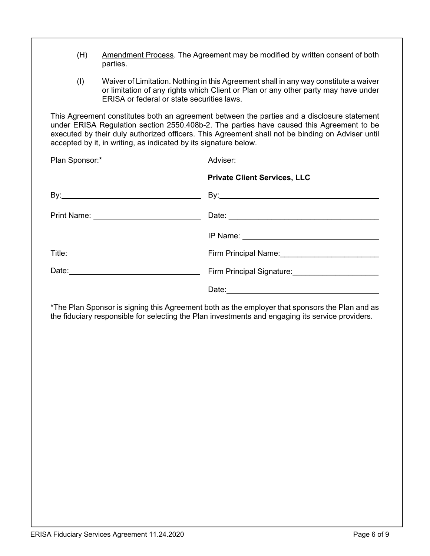- (H) Amendment Process. The Agreement may be modified by written consent of both parties.
- (I) Waiver of Limitation. Nothing in this Agreement shall in any way constitute a waiver or limitation of any rights which Client or Plan or any other party may have under ERISA or federal or state securities laws.

This Agreement constitutes both an agreement between the parties and a disclosure statement under ERISA Regulation section 2550.408b-2. The parties have caused this Agreement to be executed by their duly authorized officers. This Agreement shall not be binding on Adviser until accepted by it, in writing, as indicated by its signature below.

| Adviser:                                                   |
|------------------------------------------------------------|
| <b>Private Client Services, LLC</b>                        |
| By: $\qquad \qquad \qquad$ By:                             |
|                                                            |
|                                                            |
| Firm Principal Name: Mannell Communication Principal Name: |
| Firm Principal Signature:<br>Firm Principal Signature:     |
|                                                            |
|                                                            |

\*The Plan Sponsor is signing this Agreement both as the employer that sponsors the Plan and as the fiduciary responsible for selecting the Plan investments and engaging its service providers.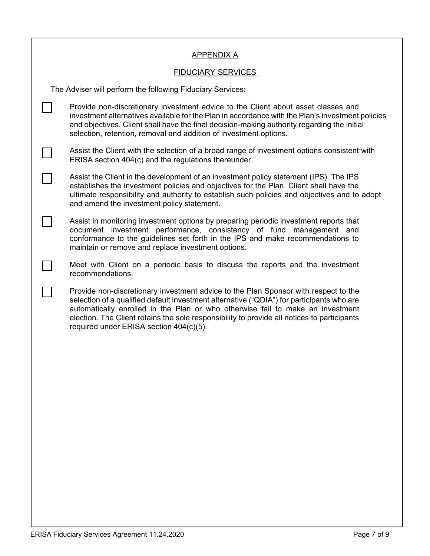|                                                            | <b>APPENDIX A</b>                                                                                                                                                                                                                                                                                                                                                                                            |  |  |  |
|------------------------------------------------------------|--------------------------------------------------------------------------------------------------------------------------------------------------------------------------------------------------------------------------------------------------------------------------------------------------------------------------------------------------------------------------------------------------------------|--|--|--|
| <b>FIDUCIARY SERVICES</b>                                  |                                                                                                                                                                                                                                                                                                                                                                                                              |  |  |  |
| The Adviser will perform the following Fiduciary Services: |                                                                                                                                                                                                                                                                                                                                                                                                              |  |  |  |
|                                                            | Provide non-discretionary investment advice to the Client about asset classes and<br>investment alternatives available for the Plan in accordance with the Plan's investment policies<br>and objectives. Client shall have the final decision-making authority regarding the initial<br>selection, retention, removal and addition of investment options.                                                    |  |  |  |
|                                                            | Assist the Client with the selection of a broad range of investment options consistent with<br>ERISA section 404(c) and the regulations thereunder.                                                                                                                                                                                                                                                          |  |  |  |
|                                                            | Assist the Client in the development of an investment policy statement (IPS). The IPS<br>establishes the investment policies and objectives for the Plan. Client shall have the<br>ultimate responsibility and authority to establish such policies and objectives and to adopt<br>and amend the investment policy statement.                                                                                |  |  |  |
|                                                            | Assist in monitoring investment options by preparing periodic investment reports that<br>document investment performance, consistency of fund management and<br>conformance to the guidelines set forth in the IPS and make recommendations to<br>maintain or remove and replace investment options.                                                                                                         |  |  |  |
|                                                            | Meet with Client on a periodic basis to discuss the reports and the investment<br>recommendations.                                                                                                                                                                                                                                                                                                           |  |  |  |
|                                                            | Provide non-discretionary investment advice to the Plan Sponsor with respect to the<br>selection of a qualified default investment alternative ("QDIA") for participants who are<br>automatically enrolled in the Plan or who otherwise fail to make an investment<br>election. The Client retains the sole responsibility to provide all notices to participants<br>required under ERISA section 404(c)(5). |  |  |  |
|                                                            |                                                                                                                                                                                                                                                                                                                                                                                                              |  |  |  |
|                                                            |                                                                                                                                                                                                                                                                                                                                                                                                              |  |  |  |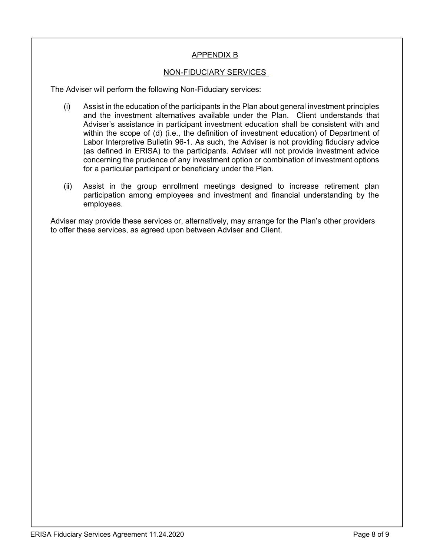## APPENDIX B

## NON-FIDUCIARY SERVICES

The Adviser will perform the following Non-Fiduciary services:

- (i) Assist in the education of the participants in the Plan about general investment principles and the investment alternatives available under the Plan. Client understands that Adviser's assistance in participant investment education shall be consistent with and within the scope of (d) (i.e., the definition of investment education) of Department of Labor Interpretive Bulletin 96-1. As such, the Adviser is not providing fiduciary advice (as defined in ERISA) to the participants. Adviser will not provide investment advice concerning the prudence of any investment option or combination of investment options for a particular participant or beneficiary under the Plan.
- (ii) Assist in the group enrollment meetings designed to increase retirement plan participation among employees and investment and financial understanding by the employees.

Adviser may provide these services or, alternatively, may arrange for the Plan's other providers to offer these services, as agreed upon between Adviser and Client.